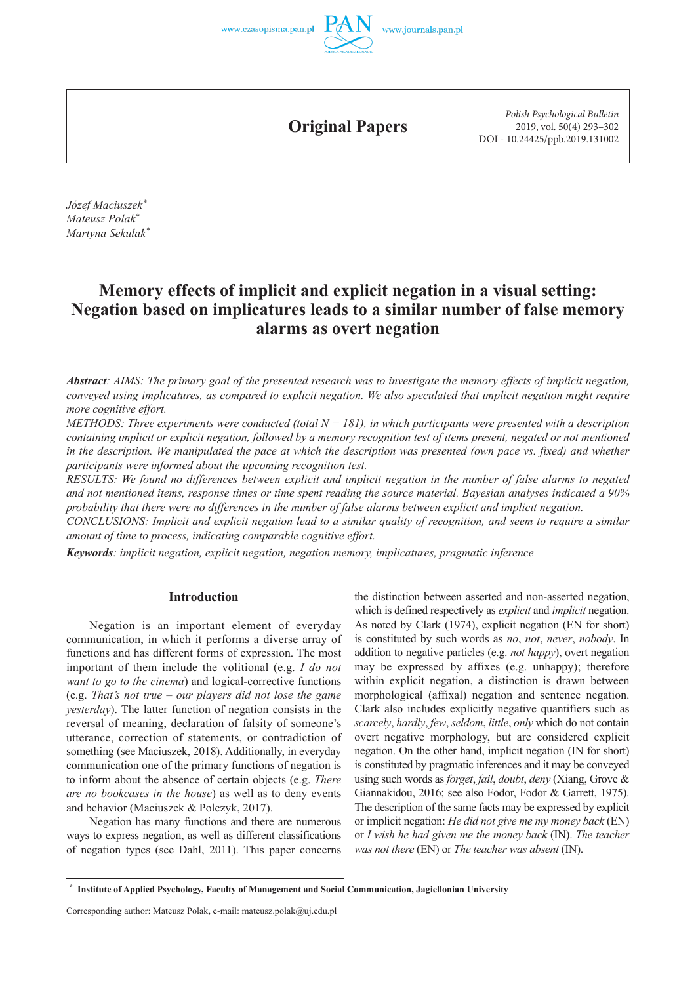

**Original Papers**

*Polish Psychological Bulletin* 2019, vol. 50(4) 293–302 DOI - 10.24425/ppb.2019.131002

*Józef Maciuszek\* Mateusz Polak\* Martyna Sekulak\**

# **Memory effects of implicit and explicit negation in a visual setting: Negation based on implicatures leads to a similar number of false memory alarms as overt negation**

*Abstract: AIMS: The primary goal of the presented research was to investigate the memory effects of implicit negation, conveyed using implicatures, as compared to explicit negation. We also speculated that implicit negation might require more cognitive effort.*

*METHODS: Three experiments were conducted (total N = 181), in which participants were presented with a description containing implicit or explicit negation, followed by a memory recognition test of items present, negated or not mentioned*  in the description. We manipulated the pace at which the description was presented (own pace vs. fixed) and whether *participants were informed about the upcoming recognition test.*

*RESULTS: We found no differences between explicit and implicit negation in the number of false alarms to negated and not mentioned items, response times or time spent reading the source material. Bayesian analyses indicated a 90% probability that there were no differences in the number of false alarms between explicit and implicit negation.*

*CONCLUSIONS: Implicit and explicit negation lead to a similar quality of recognition, and seem to require a similar amount of time to process, indicating comparable cognitive effort.*

*Keywords: implicit negation, explicit negation, negation memory, implicatures, pragmatic inference*

## **Introduction**

Negation is an important element of everyday communication, in which it performs a diverse array of functions and has different forms of expression. The most important of them include the volitional (e.g. *I do not want to go to the cinema*) and logical-corrective functions (e.g. *That's not true – our players did not lose the game yesterday*). The latter function of negation consists in the reversal of meaning, declaration of falsity of someone's utterance, correction of statements, or contradiction of something (see Maciuszek, 2018). Additionally, in everyday communication one of the primary functions of negation is to inform about the absence of certain objects (e.g. *There are no bookcases in the house*) as well as to deny events and behavior (Maciuszek & Polczyk, 2017).

Negation has many functions and there are numerous ways to express negation, as well as different classifications of negation types (see Dahl, 2011). This paper concerns

the distinction between asserted and non-asserted negation, which is defined respectively as *explicit* and *implicit* negation. As noted by Clark (1974), explicit negation (EN for short) is constituted by such words as *no*, *not*, *never*, *nobody*. In addition to negative particles (e.g. *not happy*), overt negation may be expressed by affixes (e.g. unhappy); therefore within explicit negation, a distinction is drawn between morphological (affixal) negation and sentence negation. Clark also includes explicitly negative quantifiers such as *scarcely*, *hardly*, *few*, *seldom*, *little*, *only* which do not contain overt negative morphology, but are considered explicit negation. On the other hand, implicit negation (IN for short) is constituted by pragmatic inferences and it may be conveyed using such words as *forget*, *fail*, *doubt*, *deny* (Xiang, Grove & Giannakidou, 2016; see also Fodor, Fodor & Garrett, 1975). The description of the same facts may be expressed by explicit or implicit negation: *He did not give me my money back* (EN) or *I wish he had given me the money back* (IN). *The teacher was not there* (EN) or *The teacher was absent* (IN).

 **<sup>\*</sup> Institute of Applied Psychology, Faculty of Management and Social Communication, Jagiellonian University**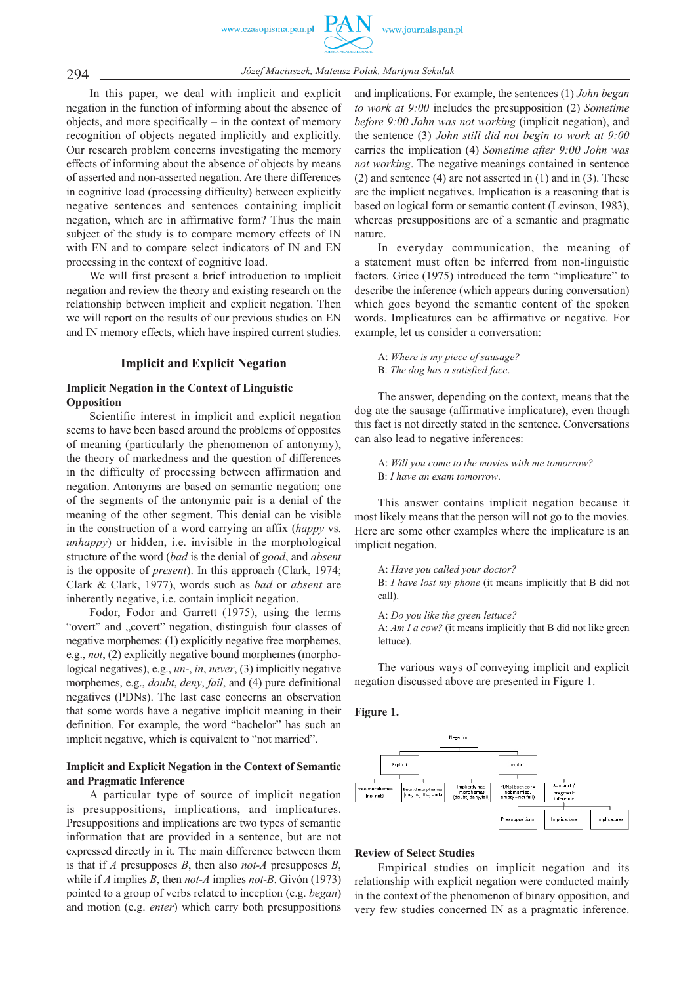

294 *Józef Maciuszek, Mateusz Polak, Martyna Sekulak*

In this paper, we deal with implicit and explicit negation in the function of informing about the absence of objects, and more specifically – in the context of memory recognition of objects negated implicitly and explicitly. Our research problem concerns investigating the memory effects of informing about the absence of objects by means of asserted and non-asserted negation. Are there differences in cognitive load (processing difficulty) between explicitly negative sentences and sentences containing implicit negation, which are in affirmative form? Thus the main subject of the study is to compare memory effects of IN with EN and to compare select indicators of IN and EN processing in the context of cognitive load.

We will first present a brief introduction to implicit negation and review the theory and existing research on the relationship between implicit and explicit negation. Then we will report on the results of our previous studies on EN and IN memory effects, which have inspired current studies.

# **Implicit and Explicit Negation**

# **Implicit Negation in the Context of Linguistic Opposition**

Scientific interest in implicit and explicit negation seems to have been based around the problems of opposites of meaning (particularly the phenomenon of antonymy), the theory of markedness and the question of differences in the difficulty of processing between affirmation and negation. Antonyms are based on semantic negation; one of the segments of the antonymic pair is a denial of the meaning of the other segment. This denial can be visible in the construction of a word carrying an affix (*happy* vs. *unhappy*) or hidden, i.e. invisible in the morphological structure of the word (*bad* is the denial of *good*, and *absent* is the opposite of *present*). In this approach (Clark, 1974; Clark & Clark, 1977), words such as *bad* or *absent* are inherently negative, i.e. contain implicit negation.

Fodor, Fodor and Garrett (1975), using the terms "overt" and "covert" negation, distinguish four classes of negative morphemes:  $(1)$  explicitly negative free morphemes, e.g., *not*, (2) explicitly negative bound morphemes (morphological negatives), e.g., *un-*, *in*, *never*, (3) implicitly negative morphemes, e.g., *doubt*, *deny*, *fail*, and (4) pure definitional negatives (PDNs). The last case concerns an observation that some words have a negative implicit meaning in their definition. For example, the word "bachelor" has such an implicit negative, which is equivalent to "not married".

# **Implicit and Explicit Negation in the Context of Semantic and Pragmatic Inference**

A particular type of source of implicit negation is presuppositions, implications, and implicatures. Presuppositions and implications are two types of semantic information that are provided in a sentence, but are not expressed directly in it. The main difference between them is that if *A* presupposes *B*, then also *not-A* presupposes *B*, while if *A* implies *B*, then *not-A* implies *not-B*. Givón (1973) pointed to a group of verbs related to inception (e.g. *began*) and motion (e.g. *enter*) which carry both presuppositions

and implications. For example, the sentences (1) *John began to work at 9:00* includes the presupposition (2) *Sometime before 9:00 John was not working* (implicit negation), and the sentence (3) *John still did not begin to work at 9:00* carries the implication (4) *Sometime after 9:00 John was not working*. The negative meanings contained in sentence (2) and sentence (4) are not asserted in (1) and in (3). These are the implicit negatives. Implication is a reasoning that is based on logical form or semantic content (Levinson, 1983), whereas presuppositions are of a semantic and pragmatic nature.

In everyday communication, the meaning of a statement must often be inferred from non-linguistic factors. Grice (1975) introduced the term "implicature" to describe the inference (which appears during conversation) which goes beyond the semantic content of the spoken words. Implicatures can be affirmative or negative. For example, let us consider a conversation:

A: *Where is my piece of sausage?* B: *The dog has a satisfied face*.

The answer, depending on the context, means that the dog ate the sausage (affirmative implicature), even though this fact is not directly stated in the sentence. Conversations can also lead to negative inferences:

A: *Will you come to the movies with me tomorrow?* B: *I have an exam tomorrow*.

This answer contains implicit negation because it most likely means that the person will not go to the movies. Here are some other examples where the implicature is an implicit negation.

A: *Have you called your doctor?* B: *I have lost my phone* (it means implicitly that B did not call).

A: *Do you like the green lettuce?* A: *Am I a cow?* (it means implicitly that B did not like green lettuce).

The various ways of conveying implicit and explicit negation discussed above are presented in Figure 1.





## **Review of Select Studies**

Empirical studies on implicit negation and its relationship with explicit negation were conducted mainly in the context of the phenomenon of binary opposition, and very few studies concerned IN as a pragmatic inference.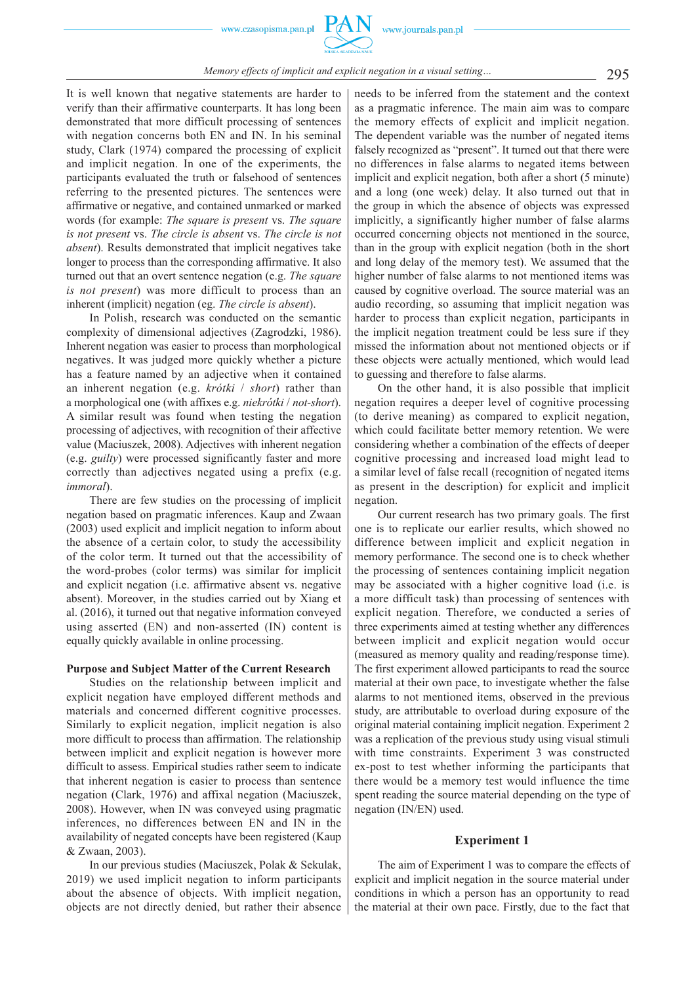

# *Memory effects of implicit and explicit negation in a visual setting...* 295

It is well known that negative statements are harder to verify than their affirmative counterparts. It has long been demonstrated that more difficult processing of sentences with negation concerns both EN and IN. In his seminal study, Clark (1974) compared the processing of explicit and implicit negation. In one of the experiments, the participants evaluated the truth or falsehood of sentences referring to the presented pictures. The sentences were affirmative or negative, and contained unmarked or marked words (for example: *The square is present* vs. *The square is not present* vs. *The circle is absent* vs. *The circle is not absent*). Results demonstrated that implicit negatives take longer to process than the corresponding affirmative. It also turned out that an overt sentence negation (e.g. *The square is not present*) was more difficult to process than an inherent (implicit) negation (eg. *The circle is absent*).

In Polish, research was conducted on the semantic complexity of dimensional adjectives (Zagrodzki, 1986). Inherent negation was easier to process than morphological negatives. It was judged more quickly whether a picture has a feature named by an adjective when it contained an inherent negation (e.g. *krótki* / *short*) rather than a morphological one (with affixes e.g. *niekrótki* / *not-short*). A similar result was found when testing the negation processing of adjectives, with recognition of their affective value (Maciuszek, 2008). Adjectives with inherent negation (e.g. *guilty*) were processed significantly faster and more correctly than adjectives negated using a prefix (e.g. *immoral*).

There are few studies on the processing of implicit negation based on pragmatic inferences. Kaup and Zwaan (2003) used explicit and implicit negation to inform about the absence of a certain color, to study the accessibility of the color term. It turned out that the accessibility of the word-probes (color terms) was similar for implicit and explicit negation (i.e. affirmative absent vs. negative absent). Moreover, in the studies carried out by Xiang et al. (2016), it turned out that negative information conveyed using asserted (EN) and non-asserted (IN) content is equally quickly available in online processing.

#### **Purpose and Subject Matter of the Current Research**

Studies on the relationship between implicit and explicit negation have employed different methods and materials and concerned different cognitive processes. Similarly to explicit negation, implicit negation is also more difficult to process than affirmation. The relationship between implicit and explicit negation is however more difficult to assess. Empirical studies rather seem to indicate that inherent negation is easier to process than sentence negation (Clark, 1976) and affixal negation (Maciuszek, 2008). However, when IN was conveyed using pragmatic inferences, no differences between EN and IN in the availability of negated concepts have been registered (Kaup & Zwaan, 2003).

In our previous studies (Maciuszek, Polak & Sekulak, 2019) we used implicit negation to inform participants about the absence of objects. With implicit negation, objects are not directly denied, but rather their absence needs to be inferred from the statement and the context as a pragmatic inference. The main aim was to compare the memory effects of explicit and implicit negation. The dependent variable was the number of negated items falsely recognized as "present". It turned out that there were no differences in false alarms to negated items between implicit and explicit negation, both after a short (5 minute) and a long (one week) delay. It also turned out that in the group in which the absence of objects was expressed implicitly, a significantly higher number of false alarms occurred concerning objects not mentioned in the source, than in the group with explicit negation (both in the short and long delay of the memory test). We assumed that the higher number of false alarms to not mentioned items was caused by cognitive overload. The source material was an audio recording, so assuming that implicit negation was harder to process than explicit negation, participants in the implicit negation treatment could be less sure if they missed the information about not mentioned objects or if these objects were actually mentioned, which would lead to guessing and therefore to false alarms.

On the other hand, it is also possible that implicit negation requires a deeper level of cognitive processing (to derive meaning) as compared to explicit negation, which could facilitate better memory retention. We were considering whether a combination of the effects of deeper cognitive processing and increased load might lead to a similar level of false recall (recognition of negated items as present in the description) for explicit and implicit negation.

Our current research has two primary goals. The first one is to replicate our earlier results, which showed no difference between implicit and explicit negation in memory performance. The second one is to check whether the processing of sentences containing implicit negation may be associated with a higher cognitive load (i.e. is a more difficult task) than processing of sentences with explicit negation. Therefore, we conducted a series of three experiments aimed at testing whether any differences between implicit and explicit negation would occur (measured as memory quality and reading/response time). The first experiment allowed participants to read the source material at their own pace, to investigate whether the false alarms to not mentioned items, observed in the previous study, are attributable to overload during exposure of the original material containing implicit negation. Experiment 2 was a replication of the previous study using visual stimuli with time constraints. Experiment 3 was constructed ex-post to test whether informing the participants that there would be a memory test would influence the time spent reading the source material depending on the type of negation (IN/EN) used.

# **Experiment 1**

The aim of Experiment 1 was to compare the effects of explicit and implicit negation in the source material under conditions in which a person has an opportunity to read the material at their own pace. Firstly, due to the fact that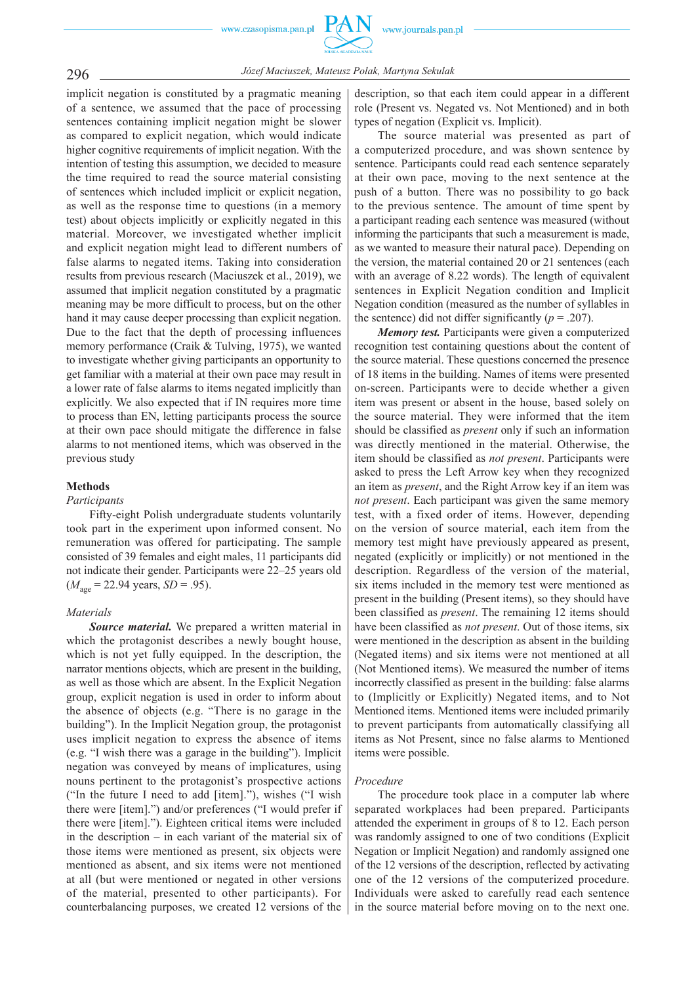

296 *Józef Maciuszek, Mateusz Polak, Martyna Sekulak*

implicit negation is constituted by a pragmatic meaning of a sentence, we assumed that the pace of processing sentences containing implicit negation might be slower as compared to explicit negation, which would indicate higher cognitive requirements of implicit negation. With the intention of testing this assumption, we decided to measure the time required to read the source material consisting of sentences which included implicit or explicit negation, as well as the response time to questions (in a memory test) about objects implicitly or explicitly negated in this material. Moreover, we investigated whether implicit and explicit negation might lead to different numbers of false alarms to negated items. Taking into consideration results from previous research (Maciuszek et al., 2019), we assumed that implicit negation constituted by a pragmatic meaning may be more difficult to process, but on the other hand it may cause deeper processing than explicit negation. Due to the fact that the depth of processing influences memory performance (Craik & Tulving, 1975), we wanted to investigate whether giving participants an opportunity to get familiar with a material at their own pace may result in a lower rate of false alarms to items negated implicitly than explicitly. We also expected that if IN requires more time to process than EN, letting participants process the source at their own pace should mitigate the difference in false alarms to not mentioned items, which was observed in the previous study

#### **Methods**

#### *Participants*

Fifty-eight Polish undergraduate students voluntarily took part in the experiment upon informed consent. No remuneration was offered for participating. The sample consisted of 39 females and eight males, 11 participants did not indicate their gender. Participants were 22–25 years old  $(M<sub>age</sub> = 22.94 \text{ years}, SD = .95).$ 

## *Materials*

*Source material.* We prepared a written material in which the protagonist describes a newly bought house, which is not yet fully equipped. In the description, the narrator mentions objects, which are present in the building, as well as those which are absent. In the Explicit Negation group, explicit negation is used in order to inform about the absence of objects (e.g. "There is no garage in the building"). In the Implicit Negation group, the protagonist uses implicit negation to express the absence of items (e.g. "I wish there was a garage in the building"). Implicit negation was conveyed by means of implicatures, using nouns pertinent to the protagonist's prospective actions ("In the future I need to add [item]."), wishes ("I wish there were [item].") and/or preferences ("I would prefer if there were [item]."). Eighteen critical items were included in the description – in each variant of the material six of those items were mentioned as present, six objects were mentioned as absent, and six items were not mentioned at all (but were mentioned or negated in other versions of the material, presented to other participants). For counterbalancing purposes, we created 12 versions of the

description, so that each item could appear in a different role (Present vs. Negated vs. Not Mentioned) and in both types of negation (Explicit vs. Implicit).

The source material was presented as part of a computerized procedure, and was shown sentence by sentence. Participants could read each sentence separately at their own pace, moving to the next sentence at the push of a button. There was no possibility to go back to the previous sentence. The amount of time spent by a participant reading each sentence was measured (without informing the participants that such a measurement is made, as we wanted to measure their natural pace). Depending on the version, the material contained 20 or 21 sentences (each with an average of 8.22 words). The length of equivalent sentences in Explicit Negation condition and Implicit Negation condition (measured as the number of syllables in the sentence) did not differ significantly  $(p = .207)$ .

*Memory test.* Participants were given a computerized recognition test containing questions about the content of the source material. These questions concerned the presence of 18 items in the building. Names of items were presented on-screen. Participants were to decide whether a given item was present or absent in the house, based solely on the source material. They were informed that the item should be classified as *present* only if such an information was directly mentioned in the material. Otherwise, the item should be classified as *not present*. Participants were asked to press the Left Arrow key when they recognized an item as *present*, and the Right Arrow key if an item was *not present*. Each participant was given the same memory test, with a fixed order of items. However, depending on the version of source material, each item from the memory test might have previously appeared as present, negated (explicitly or implicitly) or not mentioned in the description. Regardless of the version of the material, six items included in the memory test were mentioned as present in the building (Present items), so they should have been classified as *present*. The remaining 12 items should have been classified as *not present*. Out of those items, six were mentioned in the description as absent in the building (Negated items) and six items were not mentioned at all (Not Mentioned items). We measured the number of items incorrectly classified as present in the building: false alarms to (Implicitly or Explicitly) Negated items, and to Not Mentioned items. Mentioned items were included primarily to prevent participants from automatically classifying all items as Not Present, since no false alarms to Mentioned items were possible.

#### *Procedure*

The procedure took place in a computer lab where separated workplaces had been prepared. Participants attended the experiment in groups of 8 to 12. Each person was randomly assigned to one of two conditions (Explicit Negation or Implicit Negation) and randomly assigned one of the 12 versions of the description, reflected by activating one of the 12 versions of the computerized procedure. Individuals were asked to carefully read each sentence in the source material before moving on to the next one.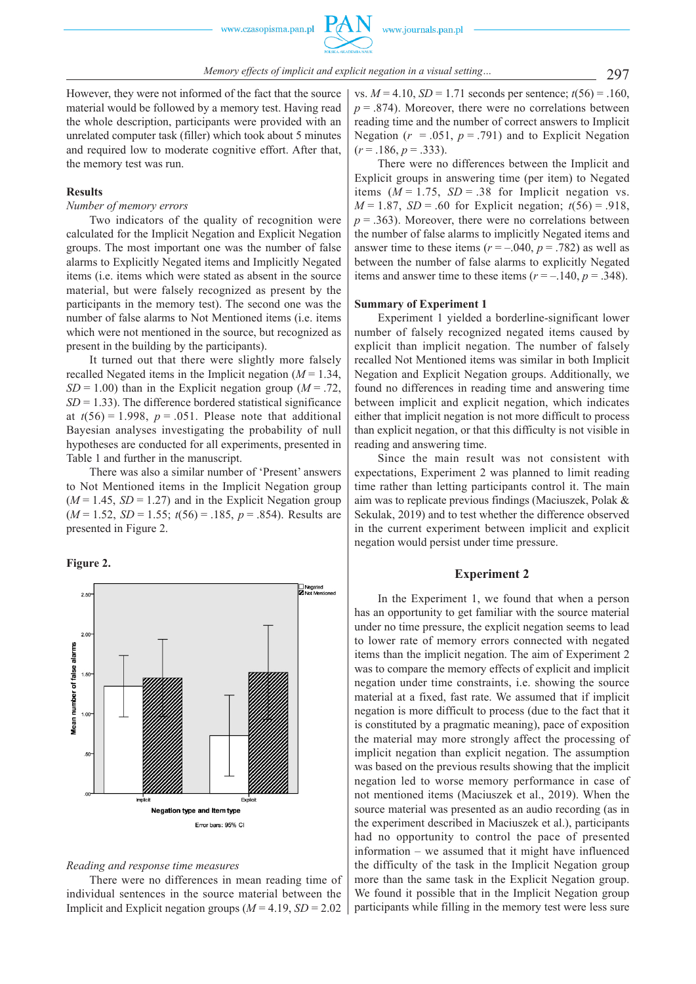However, they were not informed of the fact that the source material would be followed by a memory test. Having read the whole description, participants were provided with an unrelated computer task (filler) which took about 5 minutes and required low to moderate cognitive effort. After that, the memory test was run.

## **Results**

#### *Number of memory errors*

Two indicators of the quality of recognition were calculated for the Implicit Negation and Explicit Negation groups. The most important one was the number of false alarms to Explicitly Negated items and Implicitly Negated items (i.e. items which were stated as absent in the source material, but were falsely recognized as present by the participants in the memory test). The second one was the number of false alarms to Not Mentioned items (i.e. items which were not mentioned in the source, but recognized as present in the building by the participants).

It turned out that there were slightly more falsely recalled Negated items in the Implicit negation  $(M = 1.34)$ ,  $SD = 1.00$ ) than in the Explicit negation group ( $M = .72$ ,  $SD = 1.33$ ). The difference bordered statistical significance at  $t(56) = 1.998$ ,  $p = .051$ . Please note that additional Bayesian analyses investigating the probability of null hypotheses are conducted for all experiments, presented in Table 1 and further in the manuscript.

There was also a similar number of 'Present' answers to Not Mentioned items in the Implicit Negation group  $(M = 1.45, SD = 1.27)$  and in the Explicit Negation group (*M* = 1.52, *SD* = 1.55; *t*(56) = .185, *p* = .854). Results are presented in Figure 2.





# *Reading and response time measures*

There were no differences in mean reading time of individual sentences in the source material between the Implicit and Explicit negation groups (*M* = 4.19, *SD* = 2.02

vs.  $M = 4.10$ ,  $SD = 1.71$  seconds per sentence;  $t(56) = .160$ ,  $p = 0.874$ . Moreover, there were no correlations between reading time and the number of correct answers to Implicit Negation  $(r = .051, p = .791)$  and to Explicit Negation  $(r = .186, p = .333)$ .

There were no differences between the Implicit and Explicit groups in answering time (per item) to Negated items  $(M = 1.75, SD = .38$  for Implicit negation vs. *M* = 1.87, *SD* = .60 for Explicit negation;  $t(56) = .918$ ,  $p = 0.363$ . Moreover, there were no correlations between the number of false alarms to implicitly Negated items and answer time to these items  $(r = -.040, p = .782)$  as well as between the number of false alarms to explicitly Negated items and answer time to these items  $(r = -140, p = .348)$ .

#### **Summary of Experiment 1**

Experiment 1 yielded a borderline-significant lower number of falsely recognized negated items caused by explicit than implicit negation. The number of falsely recalled Not Mentioned items was similar in both Implicit Negation and Explicit Negation groups. Additionally, we found no differences in reading time and answering time between implicit and explicit negation, which indicates either that implicit negation is not more difficult to process than explicit negation, or that this difficulty is not visible in reading and answering time.

Since the main result was not consistent with expectations, Experiment 2 was planned to limit reading time rather than letting participants control it. The main aim was to replicate previous findings (Maciuszek, Polak & Sekulak, 2019) and to test whether the difference observed in the current experiment between implicit and explicit negation would persist under time pressure.

# **Experiment 2**

In the Experiment 1, we found that when a person has an opportunity to get familiar with the source material under no time pressure, the explicit negation seems to lead to lower rate of memory errors connected with negated items than the implicit negation. The aim of Experiment 2 was to compare the memory effects of explicit and implicit negation under time constraints, i.e. showing the source material at a fixed, fast rate. We assumed that if implicit negation is more difficult to process (due to the fact that it is constituted by a pragmatic meaning), pace of exposition the material may more strongly affect the processing of implicit negation than explicit negation. The assumption was based on the previous results showing that the implicit negation led to worse memory performance in case of not mentioned items (Maciuszek et al., 2019). When the source material was presented as an audio recording (as in the experiment described in Maciuszek et al.), participants had no opportunity to control the pace of presented information – we assumed that it might have influenced the difficulty of the task in the Implicit Negation group more than the same task in the Explicit Negation group. We found it possible that in the Implicit Negation group participants while filling in the memory test were less sure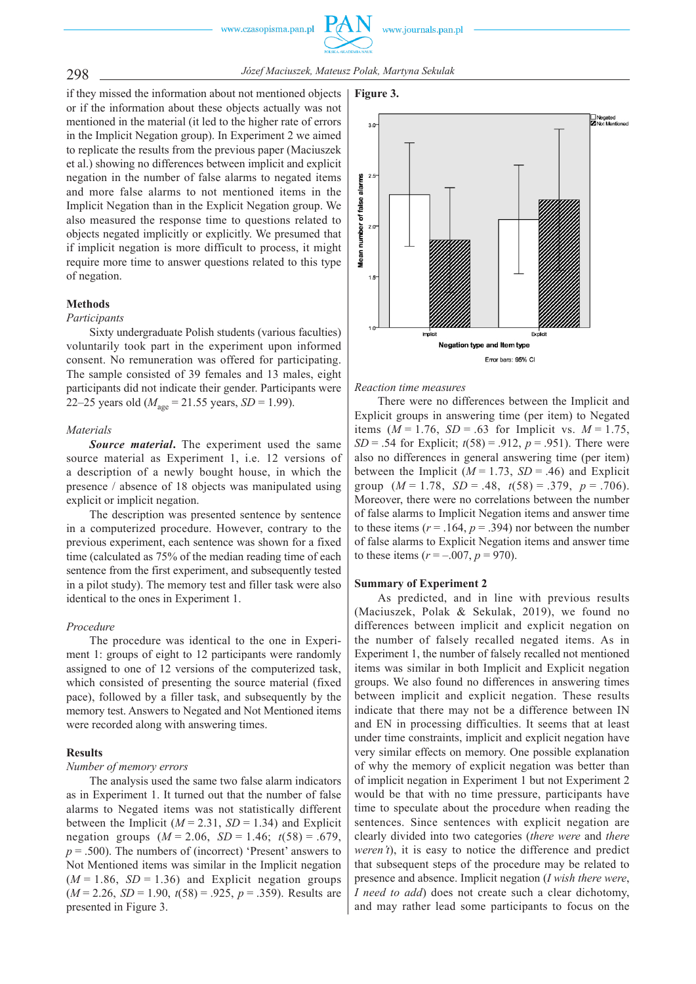www.journals.pan.pl



298 *Józef Maciuszek, Mateusz Polak, Martyna Sekulak*

if they missed the information about not mentioned objects or if the information about these objects actually was not mentioned in the material (it led to the higher rate of errors in the Implicit Negation group). In Experiment 2 we aimed to replicate the results from the previous paper (Maciuszek et al.) showing no differences between implicit and explicit negation in the number of false alarms to negated items and more false alarms to not mentioned items in the Implicit Negation than in the Explicit Negation group. We also measured the response time to questions related to objects negated implicitly or explicitly. We presumed that if implicit negation is more difficult to process, it might require more time to answer questions related to this type of negation.

## **Methods**

#### *Participants*

Sixty undergraduate Polish students (various faculties) voluntarily took part in the experiment upon informed consent. No remuneration was offered for participating. The sample consisted of 39 females and 13 males, eight participants did not indicate their gender. Participants were 22–25 years old ( $M_{\text{age}} = 21.55$  years, *SD* = 1.99).

## *Materials*

*Source material***.** The experiment used the same source material as Experiment 1, i.e. 12 versions of a description of a newly bought house, in which the presence / absence of 18 objects was manipulated using explicit or implicit negation.

The description was presented sentence by sentence in a computerized procedure. However, contrary to the previous experiment, each sentence was shown for a fixed time (calculated as 75% of the median reading time of each sentence from the first experiment, and subsequently tested in a pilot study). The memory test and filler task were also identical to the ones in Experiment 1.

## *Procedure*

The procedure was identical to the one in Experiment 1: groups of eight to 12 participants were randomly assigned to one of 12 versions of the computerized task, which consisted of presenting the source material (fixed pace), followed by a filler task, and subsequently by the memory test. Answers to Negated and Not Mentioned items were recorded along with answering times.

## **Results**

# *Number of memory errors*

The analysis used the same two false alarm indicators as in Experiment 1. It turned out that the number of false alarms to Negated items was not statistically different between the Implicit ( $M = 2.31$ ,  $SD = 1.34$ ) and Explicit negation groups (*M* = 2.06, *SD* = 1.46; *t*(58) = .679,  $p = .500$ ). The numbers of (incorrect) 'Present' answers to Not Mentioned items was similar in the Implicit negation  $(M = 1.86, SD = 1.36)$  and Explicit negation groups (*M* = 2.26, *SD* = 1.90, *t*(58) = .925, *p* = .359). Results are presented in Figure 3.



*Reaction time measures*

There were no differences between the Implicit and Explicit groups in answering time (per item) to Negated items  $(M = 1.76, SD = .63$  for Implicit vs.  $M = 1.75$ , *SD* = .54 for Explicit;  $t(58) = .912$ ,  $p = .951$ ). There were also no differences in general answering time (per item) between the Implicit ( $M = 1.73$ ,  $SD = .46$ ) and Explicit group (*M* = 1.78, *SD* = .48, *t*(58) = .379, *p* = .706). Moreover, there were no correlations between the number of false alarms to Implicit Negation items and answer time to these items  $(r = .164, p = .394)$  nor between the number of false alarms to Explicit Negation items and answer time to these items  $(r = -.007, p = 970)$ .

## **Summary of Experiment 2**

As predicted, and in line with previous results (Maciuszek, Polak & Sekulak, 2019), we found no differences between implicit and explicit negation on the number of falsely recalled negated items. As in Experiment 1, the number of falsely recalled not mentioned items was similar in both Implicit and Explicit negation groups. We also found no differences in answering times between implicit and explicit negation. These results indicate that there may not be a difference between IN and EN in processing difficulties. It seems that at least under time constraints, implicit and explicit negation have very similar effects on memory. One possible explanation of why the memory of explicit negation was better than of implicit negation in Experiment 1 but not Experiment 2 would be that with no time pressure, participants have time to speculate about the procedure when reading the sentences. Since sentences with explicit negation are clearly divided into two categories (*there were* and *there weren't*), it is easy to notice the difference and predict that subsequent steps of the procedure may be related to presence and absence. Implicit negation (*I wish there were*, *I* need to add) does not create such a clear dichotomy, and may rather lead some participants to focus on the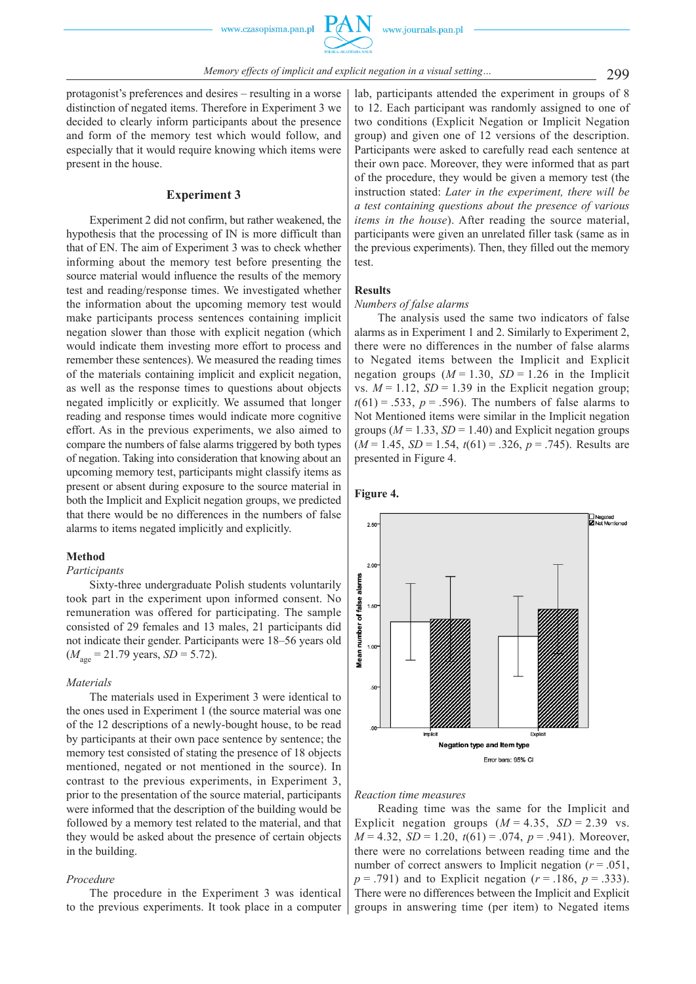protagonist's preferences and desires – resulting in a worse distinction of negated items. Therefore in Experiment 3 we decided to clearly inform participants about the presence and form of the memory test which would follow, and especially that it would require knowing which items were present in the house.

## **Experiment 3**

Experiment 2 did not confirm, but rather weakened, the hypothesis that the processing of IN is more difficult than that of EN. The aim of Experiment 3 was to check whether informing about the memory test before presenting the source material would influence the results of the memory test and reading/response times. We investigated whether the information about the upcoming memory test would make participants process sentences containing implicit negation slower than those with explicit negation (which would indicate them investing more effort to process and remember these sentences). We measured the reading times of the materials containing implicit and explicit negation, as well as the response times to questions about objects negated implicitly or explicitly. We assumed that longer reading and response times would indicate more cognitive effort. As in the previous experiments, we also aimed to compare the numbers of false alarms triggered by both types of negation. Taking into consideration that knowing about an upcoming memory test, participants might classify items as present or absent during exposure to the source material in both the Implicit and Explicit negation groups, we predicted that there would be no differences in the numbers of false alarms to items negated implicitly and explicitly.

## **Method**

#### *Participants*

Sixty-three undergraduate Polish students voluntarily took part in the experiment upon informed consent. No remuneration was offered for participating. The sample consisted of 29 females and 13 males, 21 participants did not indicate their gender. Participants were 18–56 years old  $(M<sub>age</sub> = 21.79 \text{ years}, SD = 5.72).$ 

#### *Materials*

The materials used in Experiment 3 were identical to the ones used in Experiment 1 (the source material was one of the 12 descriptions of a newly-bought house, to be read by participants at their own pace sentence by sentence; the memory test consisted of stating the presence of 18 objects mentioned, negated or not mentioned in the source). In contrast to the previous experiments, in Experiment 3, prior to the presentation of the source material, participants were informed that the description of the building would be followed by a memory test related to the material, and that they would be asked about the presence of certain objects in the building.

#### *Procedure*

The procedure in the Experiment 3 was identical to the previous experiments. It took place in a computer lab, participants attended the experiment in groups of 8 to 12. Each participant was randomly assigned to one of two conditions (Explicit Negation or Implicit Negation group) and given one of 12 versions of the description. Participants were asked to carefully read each sentence at their own pace. Moreover, they were informed that as part of the procedure, they would be given a memory test (the instruction stated: *Later in the experiment, there will be a test containing questions about the presence of various items in the house*). After reading the source material, participants were given an unrelated filler task (same as in the previous experiments). Then, they filled out the memory test.

# **Results**

# *Numbers of false alarms*

The analysis used the same two indicators of false alarms as in Experiment 1 and 2. Similarly to Experiment 2, there were no differences in the number of false alarms to Negated items between the Implicit and Explicit negation groups  $(M = 1.30, SD = 1.26$  in the Implicit vs.  $M = 1.12$ ,  $SD = 1.39$  in the Explicit negation group;  $t(61) = .533$ ,  $p = .596$ ). The numbers of false alarms to Not Mentioned items were similar in the Implicit negation groups ( $M = 1.33$ ,  $SD = 1.40$ ) and Explicit negation groups (*M* = 1.45, *SD* = 1.54, *t*(61) = .326, *p* = .745). Results are presented in Figure 4.





#### *Reaction time measures*

Reading time was the same for the Implicit and Explicit negation groups  $(M = 4.35, SD = 2.39$  vs. *M* = 4.32, *SD* = 1.20, *t*(61) = .074, *p* = .941). Moreover, there were no correlations between reading time and the number of correct answers to Implicit negation  $(r = .051)$ , *p* = .791) and to Explicit negation (*r* = .186, *p* = .333). There were no differences between the Implicit and Explicit groups in answering time (per item) to Negated items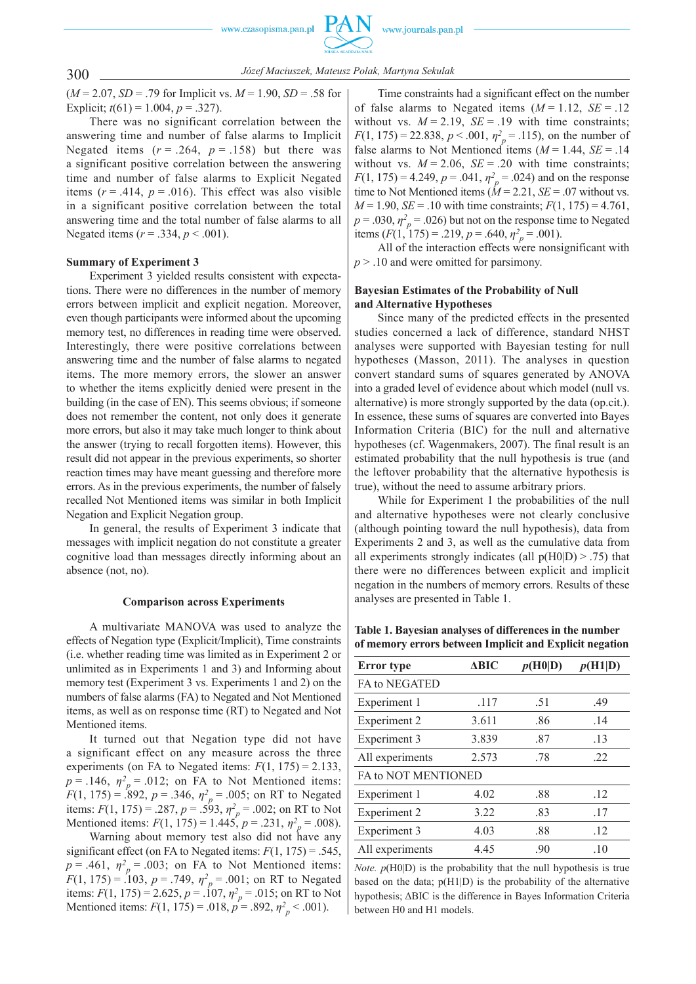

300 *Józef Maciuszek, Mateusz Polak, Martyna Sekulak*

 $(M = 2.07, SD = .79$  for Implicit vs.  $M = 1.90, SD = .58$  for Explicit;  $t(61) = 1.004$ ,  $p = .327$ ).

There was no significant correlation between the answering time and number of false alarms to Implicit Negated items  $(r = .264, p = .158)$  but there was a significant positive correlation between the answering time and number of false alarms to Explicit Negated items  $(r = .414, p = .016)$ . This effect was also visible in a significant positive correlation between the total answering time and the total number of false alarms to all Negated items (*r* = .334, *p* < .001).

#### **Summary of Experiment 3**

Experiment 3 yielded results consistent with expectations. There were no differences in the number of memory errors between implicit and explicit negation. Moreover, even though participants were informed about the upcoming memory test, no differences in reading time were observed. Interestingly, there were positive correlations between answering time and the number of false alarms to negated items. The more memory errors, the slower an answer to whether the items explicitly denied were present in the building (in the case of EN). This seems obvious; if someone does not remember the content, not only does it generate more errors, but also it may take much longer to think about the answer (trying to recall forgotten items). However, this result did not appear in the previous experiments, so shorter reaction times may have meant guessing and therefore more errors. As in the previous experiments, the number of falsely recalled Not Mentioned items was similar in both Implicit Negation and Explicit Negation group.

In general, the results of Experiment 3 indicate that messages with implicit negation do not constitute a greater cognitive load than messages directly informing about an absence (not, no).

#### **Comparison across Experiments**

A multivariate MANOVA was used to analyze the effects of Negation type (Explicit/Implicit), Time constraints (i.e. whether reading time was limited as in Experiment 2 or unlimited as in Experiments 1 and 3) and Informing about memory test (Experiment 3 vs. Experiments 1 and 2) on the numbers of false alarms (FA) to Negated and Not Mentioned items, as well as on response time (RT) to Negated and Not Mentioned items.

It turned out that Negation type did not have a significant effect on any measure across the three experiments (on FA to Negated items:  $F(1, 175) = 2.133$ ,  $p = .146$ ,  $\eta^2$ <sup>*p*</sup> = .012; on FA to Not Mentioned items: *F*(1, 175) = .892, *p* = .346,  $\eta_p^2$  = .005; on RT to Negated items:  $F(1, 175) = .287$ ,  $p = .593$ ,  $\eta_p^2 = .002$ ; on RT to Not Mentioned items:  $F(1, 175) = 1.445$ ,  $p = .231$ ,  $\eta_p^2 = .008$ ).

Warning about memory test also did not have any significant effect (on FA to Negated items:  $F(1, 175) = .545$ ,  $p = .461$ ,  $\eta^2$ <sup>*p*</sup> = .003; on FA to Not Mentioned items: *F*(1, 175) = .103,  $p = .749$ ,  $\eta_p^2 = .001$ ; on RT to Negated items:  $F(1, 175) = 2.625$ ,  $p = .107$ ,  $\eta_p^2 = .015$ ; on RT to Not Mentioned items:  $F(1, 175) = .018$ ,  $p = .892$ ,  $\eta^2_{p} < .001$ ).

Time constraints had a significant effect on the number of false alarms to Negated items  $(M = 1.12, SE = .12)$ without vs.  $M = 2.19$ ,  $SE = .19$  with time constraints; *F*(1, 175) = 22.838,  $p < .001$ ,  $\eta^2 = .115$ ), on the number of false alarms to Not Mentioned items  $(M = 1.44, SE = .14$ without vs.  $M = 2.06$ ,  $SE = .20$  with time constraints; *F*(1, 175) = 4.249,  $p = .041$ ,  $\eta_p^2 = .024$ ) and on the response time to Not Mentioned items  $(M = 2.21, SE = .07$  without vs.  $M = 1.90$ ,  $SE = .10$  with time constraints;  $F(1, 175) = 4.761$ ,  $p = .030$ ,  $\eta_p^2 = .026$ ) but not on the response time to Negated items  $(F(1, 175) = .219, p = .640, \eta^2_p = .001)$ .

All of the interaction effects were nonsignificant with *p* > .10 and were omitted for parsimony.

## **Bayesian Estimates of the Probability of Null and Alternative Hypotheses**

Since many of the predicted effects in the presented studies concerned a lack of difference, standard NHST analyses were supported with Bayesian testing for null hypotheses (Masson, 2011). The analyses in question convert standard sums of squares generated by ANOVA into a graded level of evidence about which model (null vs. alternative) is more strongly supported by the data (op.cit.). In essence, these sums of squares are converted into Bayes Information Criteria (BIC) for the null and alternative hypotheses (cf. Wagenmakers, 2007). The final result is an estimated probability that the null hypothesis is true (and the leftover probability that the alternative hypothesis is true), without the need to assume arbitrary priors.

While for Experiment 1 the probabilities of the null and alternative hypotheses were not clearly conclusive (although pointing toward the null hypothesis), data from Experiments 2 and 3, as well as the cumulative data from all experiments strongly indicates (all  $p(H0|D) > .75$ ) that there were no differences between explicit and implicit negation in the numbers of memory errors. Results of these analyses are presented in Table 1.

**Table 1. Bayesian analyses of differences in the number of memory errors between Implicit and Explicit negation**

| <b>Error</b> type    | ABIC  | p(H0 D) | p(H1 D) |
|----------------------|-------|---------|---------|
| <b>FA to NEGATED</b> |       |         |         |
| Experiment 1         | .117  | .51     | .49     |
| Experiment 2         | 3.611 | .86     | .14     |
| Experiment 3         | 3.839 | .87     | .13     |
| All experiments      | 2.573 | .78     | .22     |
| FA to NOT MENTIONED  |       |         |         |
| Experiment 1         | 4.02  | .88     | .12     |
| <b>Experiment 2</b>  | 3.22  | .83     | .17     |
| Experiment 3         | 4.03  | .88     | .12     |
| All experiments      | 4.45  | .90     | .10     |

*Note.*  $p(H0|D)$  is the probability that the null hypothesis is true based on the data; p(H1|D) is the probability of the alternative hypothesis; ΔBIC is the difference in Bayes Information Criteria between H0 and H1 models.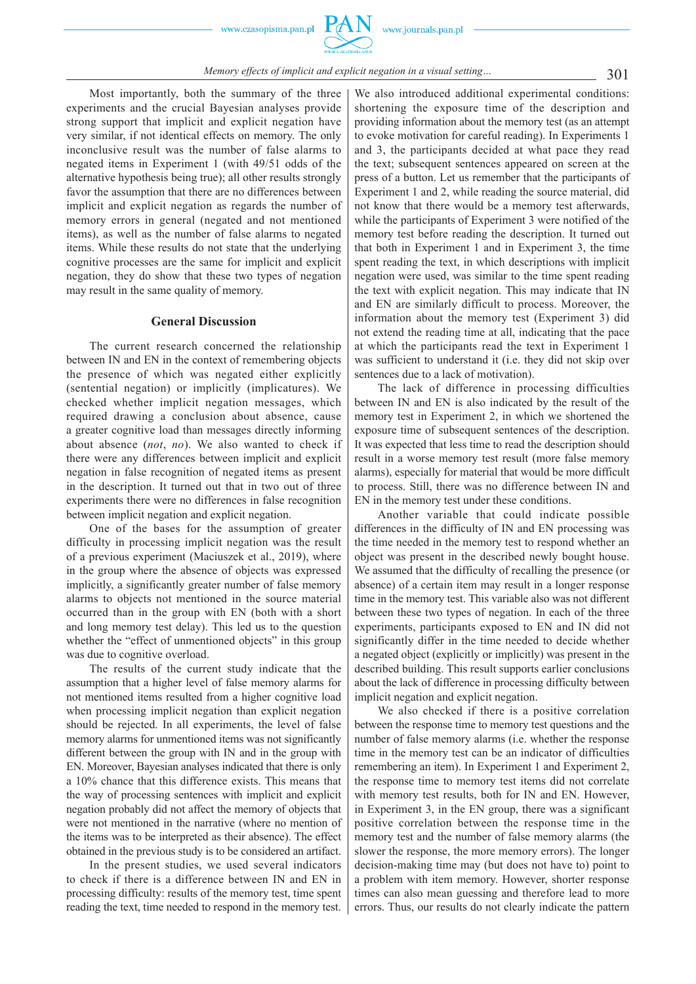

Most importantly, both the summary of the three experiments and the crucial Bayesian analyses provide strong support that implicit and explicit negation have very similar, if not identical effects on memory. The only inconclusive result was the number of false alarms to negated items in Experiment 1 (with 49/51 odds of the alternative hypothesis being true); all other results strongly favor the assumption that there are no differences between implicit and explicit negation as regards the number of memory errors in general (negated and not mentioned items), as well as the number of false alarms to negated items. While these results do not state that the underlying cognitive processes are the same for implicit and explicit negation, they do show that these two types of negation may result in the same quality of memory.

#### **General Discussion**

The current research concerned the relationship between IN and EN in the context of remembering objects the presence of which was negated either explicitly (sentential negation) or implicitly (implicatures). We checked whether implicit negation messages, which required drawing a conclusion about absence, cause a greater cognitive load than messages directly informing about absence (*not*, *no*). We also wanted to check if there were any differences between implicit and explicit negation in false recognition of negated items as present in the description. It turned out that in two out of three experiments there were no differences in false recognition between implicit negation and explicit negation.

One of the bases for the assumption of greater difficulty in processing implicit negation was the result of a previous experiment (Maciuszek et al., 2019), where in the group where the absence of objects was expressed implicitly, a significantly greater number of false memory alarms to objects not mentioned in the source material occurred than in the group with EN (both with a short and long memory test delay). This led us to the question whether the "effect of unmentioned objects" in this group was due to cognitive overload.

The results of the current study indicate that the assumption that a higher level of false memory alarms for not mentioned items resulted from a higher cognitive load when processing implicit negation than explicit negation should be rejected. In all experiments, the level of false memory alarms for unmentioned items was not significantly different between the group with IN and in the group with EN. Moreover, Bayesian analyses indicated that there is only a 10% chance that this difference exists. This means that the way of processing sentences with implicit and explicit negation probably did not affect the memory of objects that were not mentioned in the narrative (where no mention of the items was to be interpreted as their absence). The effect obtained in the previous study is to be considered an artifact.

In the present studies, we used several indicators to check if there is a difference between IN and EN in processing difficulty: results of the memory test, time spent reading the text, time needed to respond in the memory test.

We also introduced additional experimental conditions: shortening the exposure time of the description and providing information about the memory test (as an attempt to evoke motivation for careful reading). In Experiments 1 and 3, the participants decided at what pace they read the text; subsequent sentences appeared on screen at the press of a button. Let us remember that the participants of Experiment 1 and 2, while reading the source material, did not know that there would be a memory test afterwards, while the participants of Experiment 3 were notified of the memory test before reading the description. It turned out that both in Experiment 1 and in Experiment 3, the time spent reading the text, in which descriptions with implicit negation were used, was similar to the time spent reading the text with explicit negation. This may indicate that IN and EN are similarly difficult to process. Moreover, the information about the memory test (Experiment 3) did not extend the reading time at all, indicating that the pace at which the participants read the text in Experiment 1 was sufficient to understand it (i.e. they did not skip over sentences due to a lack of motivation).

The lack of difference in processing difficulties between IN and EN is also indicated by the result of the memory test in Experiment 2, in which we shortened the exposure time of subsequent sentences of the description. It was expected that less time to read the description should result in a worse memory test result (more false memory alarms), especially for material that would be more difficult to process. Still, there was no difference between IN and EN in the memory test under these conditions.

Another variable that could indicate possible differences in the difficulty of IN and EN processing was the time needed in the memory test to respond whether an object was present in the described newly bought house. We assumed that the difficulty of recalling the presence (or absence) of a certain item may result in a longer response time in the memory test. This variable also was not different between these two types of negation. In each of the three experiments, participants exposed to EN and IN did not significantly differ in the time needed to decide whether a negated object (explicitly or implicitly) was present in the described building. This result supports earlier conclusions about the lack of difference in processing difficulty between implicit negation and explicit negation.

We also checked if there is a positive correlation between the response time to memory test questions and the number of false memory alarms (i.e. whether the response time in the memory test can be an indicator of difficulties remembering an item). In Experiment 1 and Experiment 2, the response time to memory test items did not correlate with memory test results, both for IN and EN. However, in Experiment 3, in the EN group, there was a significant positive correlation between the response time in the memory test and the number of false memory alarms (the slower the response, the more memory errors). The longer decision-making time may (but does not have to) point to a problem with item memory. However, shorter response times can also mean guessing and therefore lead to more errors. Thus, our results do not clearly indicate the pattern